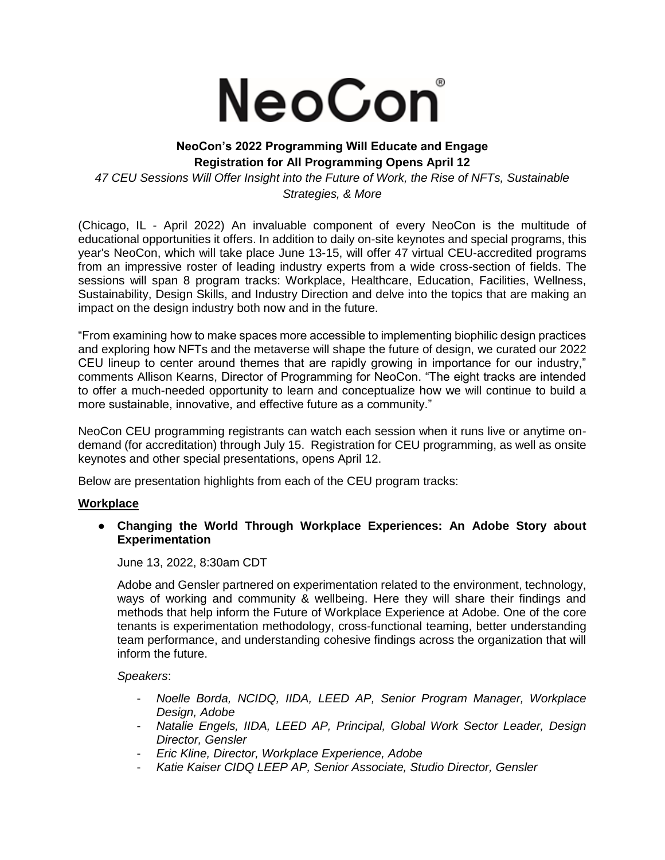

# **NeoCon's 2022 Programming Will Educate and Engage Registration for All Programming Opens April 12**

*47 CEU Sessions Will Offer Insight into the Future of Work, the Rise of NFTs, Sustainable Strategies, & More*

(Chicago, IL - April 2022) An invaluable component of every NeoCon is the multitude of educational opportunities it offers. In addition to daily on-site keynotes and special programs, this year's NeoCon, which will take place June 13-15, will offer 47 virtual CEU-accredited programs from an impressive roster of leading industry experts from a wide cross-section of fields. The sessions will span 8 program tracks: Workplace, Healthcare, Education, Facilities, Wellness, Sustainability, Design Skills, and Industry Direction and delve into the topics that are making an impact on the design industry both now and in the future.

"From examining how to make spaces more accessible to implementing biophilic design practices and exploring how NFTs and the metaverse will shape the future of design, we curated our 2022 CEU lineup to center around themes that are rapidly growing in importance for our industry," comments Allison Kearns, Director of Programming for NeoCon. "The eight tracks are intended to offer a much-needed opportunity to learn and conceptualize how we will continue to build a more sustainable, innovative, and effective future as a community."

NeoCon CEU programming registrants can watch each session when it runs live or anytime ondemand (for accreditation) through July 15. Registration for CEU programming, as well as onsite keynotes and other special presentations, opens April 12.

Below are presentation highlights from each of the CEU program tracks:

## **Workplace**

## ● **Changing the World Through Workplace Experiences: An Adobe Story about Experimentation**

June 13, 2022, 8:30am CDT

Adobe and Gensler partnered on experimentation related to the environment, technology, ways of working and community & wellbeing. Here they will share their findings and methods that help inform the Future of Workplace Experience at Adobe. One of the core tenants is experimentation methodology, cross-functional teaming, better understanding team performance, and understanding cohesive findings across the organization that will inform the future.

## *Speakers*:

- *Noelle Borda, NCIDQ, IIDA, LEED AP, Senior Program Manager, Workplace Design, Adobe*
- *Natalie Engels, IIDA, LEED AP, Principal, Global Work Sector Leader, Design Director, Gensler*
- *Eric Kline, Director, Workplace Experience, Adobe*
- *Katie Kaiser CIDQ LEEP AP, Senior Associate, Studio Director, Gensler*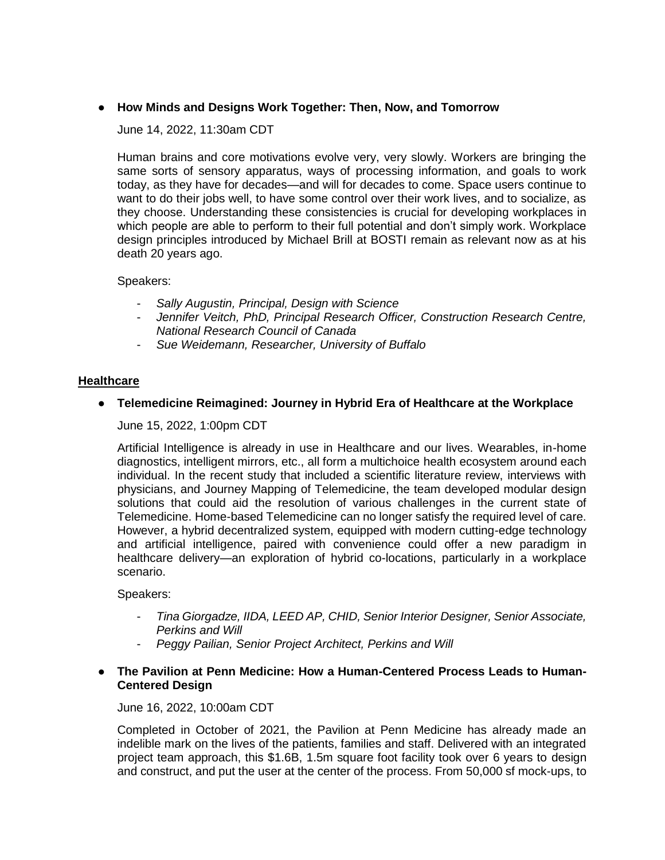# ● **How Minds and Designs Work Together: Then, Now, and Tomorrow**

June 14, 2022, 11:30am CDT

Human brains and core motivations evolve very, very slowly. Workers are bringing the same sorts of sensory apparatus, ways of processing information, and goals to work today, as they have for decades—and will for decades to come. Space users continue to want to do their jobs well, to have some control over their work lives, and to socialize, as they choose. Understanding these consistencies is crucial for developing workplaces in which people are able to perform to their full potential and don't simply work. Workplace design principles introduced by Michael Brill at BOSTI remain as relevant now as at his death 20 years ago.

Speakers:

- *Sally Augustin, Principal, Design with Science*
- *Jennifer Veitch, PhD, Principal Research Officer, Construction Research Centre, National Research Council of Canada*
- *Sue Weidemann, Researcher, University of Buffalo*

## **Healthcare**

## ● **Telemedicine Reimagined: Journey in Hybrid Era of Healthcare at the Workplace**

June 15, 2022, 1:00pm CDT

Artificial Intelligence is already in use in Healthcare and our lives. Wearables, in-home diagnostics, intelligent mirrors, etc., all form a multichoice health ecosystem around each individual. In the recent study that included a scientific literature review, interviews with physicians, and Journey Mapping of Telemedicine, the team developed modular design solutions that could aid the resolution of various challenges in the current state of Telemedicine. Home-based Telemedicine can no longer satisfy the required level of care. However, a hybrid decentralized system, equipped with modern cutting-edge technology and artificial intelligence, paired with convenience could offer a new paradigm in healthcare delivery—an exploration of hybrid co-locations, particularly in a workplace scenario.

Speakers:

- *Tina Giorgadze, IIDA, LEED AP, CHID, Senior Interior Designer, Senior Associate, Perkins and Will*
- *Peggy Pailian, Senior Project Architect, Perkins and Will*

## ● **The Pavilion at Penn Medicine: How a Human-Centered Process Leads to Human-Centered Design**

June 16, 2022, 10:00am CDT

Completed in October of 2021, the Pavilion at Penn Medicine has already made an indelible mark on the lives of the patients, families and staff. Delivered with an integrated project team approach, this \$1.6B, 1.5m square foot facility took over 6 years to design and construct, and put the user at the center of the process. From 50,000 sf mock-ups, to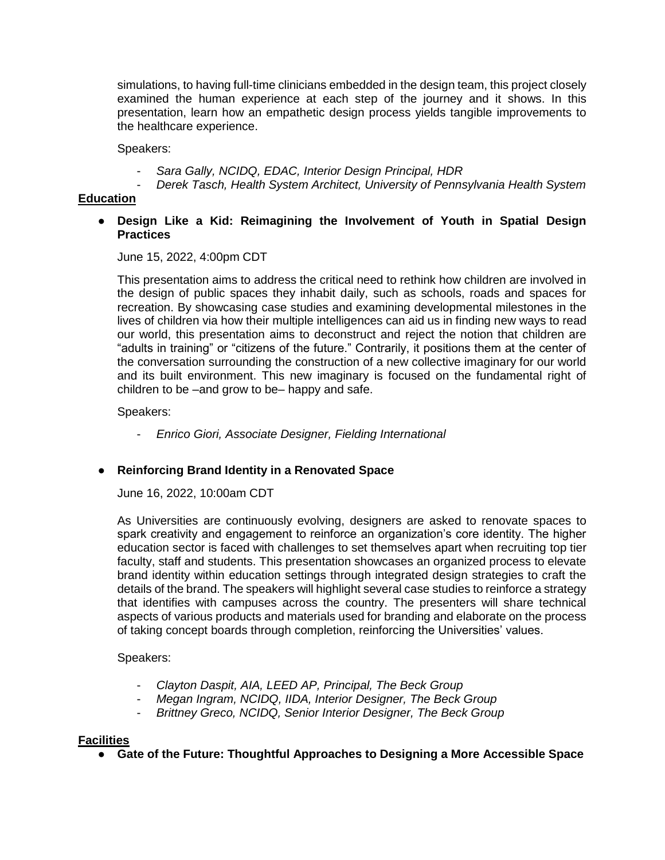simulations, to having full-time clinicians embedded in the design team, this project closely examined the human experience at each step of the journey and it shows. In this presentation, learn how an empathetic design process yields tangible improvements to the healthcare experience.

Speakers:

- *Sara Gally, NCIDQ, EDAC, Interior Design Principal, HDR*
- *Derek Tasch, Health System Architect, University of Pennsylvania Health System*

## **Education**

● **Design Like a Kid: Reimagining the Involvement of Youth in Spatial Design Practices**

June 15, 2022, 4:00pm CDT

This presentation aims to address the critical need to rethink how children are involved in the design of public spaces they inhabit daily, such as schools, roads and spaces for recreation. By showcasing case studies and examining developmental milestones in the lives of children via how their multiple intelligences can aid us in finding new ways to read our world, this presentation aims to deconstruct and reject the notion that children are "adults in training" or "citizens of the future." Contrarily, it positions them at the center of the conversation surrounding the construction of a new collective imaginary for our world and its built environment. This new imaginary is focused on the fundamental right of children to be –and grow to be– happy and safe.

Speakers:

- *Enrico Giori, Associate Designer, Fielding International*

## ● **Reinforcing Brand Identity in a Renovated Space**

June 16, 2022, 10:00am CDT

As Universities are continuously evolving, designers are asked to renovate spaces to spark creativity and engagement to reinforce an organization's core identity. The higher education sector is faced with challenges to set themselves apart when recruiting top tier faculty, staff and students. This presentation showcases an organized process to elevate brand identity within education settings through integrated design strategies to craft the details of the brand. The speakers will highlight several case studies to reinforce a strategy that identifies with campuses across the country. The presenters will share technical aspects of various products and materials used for branding and elaborate on the process of taking concept boards through completion, reinforcing the Universities' values.

Speakers:

- *Clayton Daspit, AIA, LEED AP, Principal, The Beck Group*
- *Megan Ingram, NCIDQ, IIDA, Interior Designer, The Beck Group*
- *Brittney Greco, NCIDQ, Senior Interior Designer, The Beck Group*

### **Facilities**

● **Gate of the Future: Thoughtful Approaches to Designing a More Accessible Space**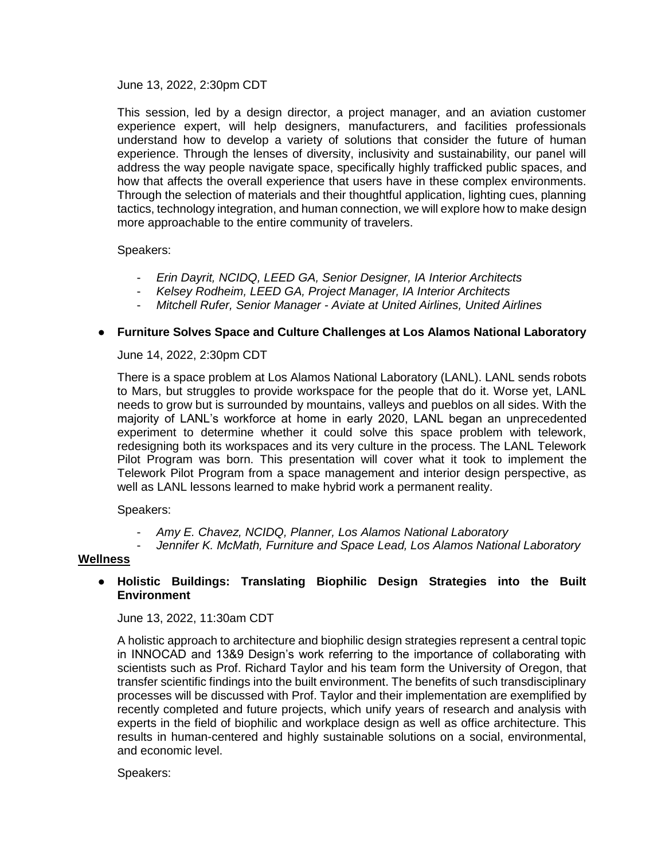June 13, 2022, 2:30pm CDT

This session, led by a design director, a project manager, and an aviation customer experience expert, will help designers, manufacturers, and facilities professionals understand how to develop a variety of solutions that consider the future of human experience. Through the lenses of diversity, inclusivity and sustainability, our panel will address the way people navigate space, specifically highly trafficked public spaces, and how that affects the overall experience that users have in these complex environments. Through the selection of materials and their thoughtful application, lighting cues, planning tactics, technology integration, and human connection, we will explore how to make design more approachable to the entire community of travelers.

Speakers:

- *Erin Dayrit, NCIDQ, LEED GA, Senior Designer, IA Interior Architects*
- *Kelsey Rodheim, LEED GA, Project Manager, IA Interior Architects*
- *Mitchell Rufer, Senior Manager - Aviate at United Airlines, United Airlines*

## ● **Furniture Solves Space and Culture Challenges at Los Alamos National Laboratory**

June 14, 2022, 2:30pm CDT

There is a space problem at Los Alamos National Laboratory (LANL). LANL sends robots to Mars, but struggles to provide workspace for the people that do it. Worse yet, LANL needs to grow but is surrounded by mountains, valleys and pueblos on all sides. With the majority of LANL's workforce at home in early 2020, LANL began an unprecedented experiment to determine whether it could solve this space problem with telework, redesigning both its workspaces and its very culture in the process. The LANL Telework Pilot Program was born. This presentation will cover what it took to implement the Telework Pilot Program from a space management and interior design perspective, as well as LANL lessons learned to make hybrid work a permanent reality.

Speakers:

- *Amy E. Chavez, NCIDQ, Planner, Los Alamos National Laboratory*
- *Jennifer K. McMath, Furniture and Space Lead, Los Alamos National Laboratory*

### **Wellness**

## ● **Holistic Buildings: Translating Biophilic Design Strategies into the Built Environment**

June 13, 2022, 11:30am CDT

A holistic approach to architecture and biophilic design strategies represent a central topic in INNOCAD and 13&9 Design's work referring to the importance of collaborating with scientists such as Prof. Richard Taylor and his team form the University of Oregon, that transfer scientific findings into the built environment. The benefits of such transdisciplinary processes will be discussed with Prof. Taylor and their implementation are exemplified by recently completed and future projects, which unify years of research and analysis with experts in the field of biophilic and workplace design as well as office architecture. This results in human-centered and highly sustainable solutions on a social, environmental, and economic level.

Speakers: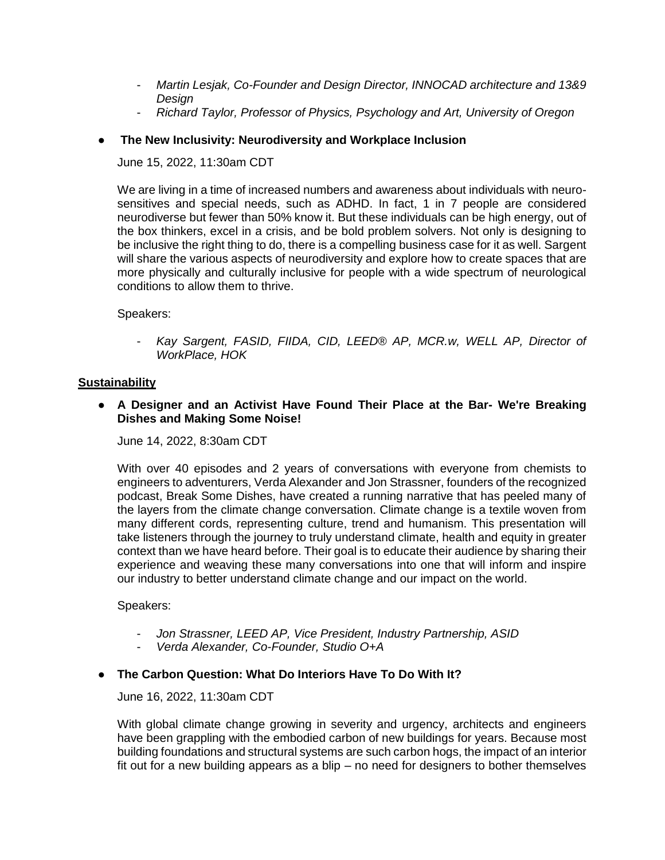- *Martin Lesjak, Co-Founder and Design Director, INNOCAD architecture and 13&9 Design*
- *Richard Taylor, Professor of Physics, Psychology and Art, University of Oregon*

# **The New Inclusivity: Neurodiversity and Workplace Inclusion**

June 15, 2022, 11:30am CDT

We are living in a time of increased numbers and awareness about individuals with neurosensitives and special needs, such as ADHD. In fact, 1 in 7 people are considered neurodiverse but fewer than 50% know it. But these individuals can be high energy, out of the box thinkers, excel in a crisis, and be bold problem solvers. Not only is designing to be inclusive the right thing to do, there is a compelling business case for it as well. Sargent will share the various aspects of neurodiversity and explore how to create spaces that are more physically and culturally inclusive for people with a wide spectrum of neurological conditions to allow them to thrive.

Speakers:

- *Kay Sargent, FASID, FIIDA, CID, LEED® AP, MCR.w, WELL AP, Director of WorkPlace, HOK*

# **Sustainability**

● **A Designer and an Activist Have Found Their Place at the Bar- We're Breaking Dishes and Making Some Noise!**

June 14, 2022, 8:30am CDT

With over 40 episodes and 2 years of conversations with everyone from chemists to engineers to adventurers, Verda Alexander and Jon Strassner, founders of the recognized podcast, Break Some Dishes, have created a running narrative that has peeled many of the layers from the climate change conversation. Climate change is a textile woven from many different cords, representing culture, trend and humanism. This presentation will take listeners through the journey to truly understand climate, health and equity in greater context than we have heard before. Their goal is to educate their audience by sharing their experience and weaving these many conversations into one that will inform and inspire our industry to better understand climate change and our impact on the world.

Speakers:

- *Jon Strassner, LEED AP, Vice President, Industry Partnership, ASID*
- *Verda Alexander, Co-Founder, Studio O+A*

# **The Carbon Question: What Do Interiors Have To Do With It?**

June 16, 2022, 11:30am CDT

With global climate change growing in severity and urgency, architects and engineers have been grappling with the embodied carbon of new buildings for years. Because most building foundations and structural systems are such carbon hogs, the impact of an interior fit out for a new building appears as a blip – no need for designers to bother themselves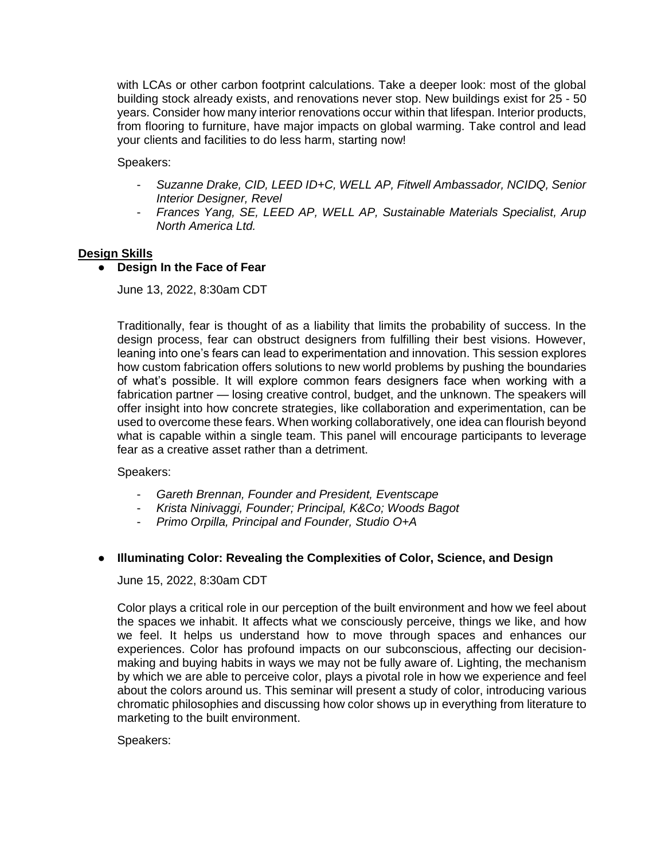with LCAs or other carbon footprint calculations. Take a deeper look: most of the global building stock already exists, and renovations never stop. New buildings exist for 25 - 50 years. Consider how many interior renovations occur within that lifespan. Interior products, from flooring to furniture, have major impacts on global warming. Take control and lead your clients and facilities to do less harm, starting now!

Speakers:

- *Suzanne Drake, CID, LEED ID+C, WELL AP, Fitwell Ambassador, NCIDQ, Senior Interior Designer, Revel*
- *Frances Yang, SE, LEED AP, WELL AP, Sustainable Materials Specialist, Arup North America Ltd.*

## **Design Skills**

## ● **Design In the Face of Fear**

June 13, 2022, 8:30am CDT

Traditionally, fear is thought of as a liability that limits the probability of success. In the design process, fear can obstruct designers from fulfilling their best visions. However, leaning into one's fears can lead to experimentation and innovation. This session explores how custom fabrication offers solutions to new world problems by pushing the boundaries of what's possible. It will explore common fears designers face when working with a fabrication partner — losing creative control, budget, and the unknown. The speakers will offer insight into how concrete strategies, like collaboration and experimentation, can be used to overcome these fears. When working collaboratively, one idea can flourish beyond what is capable within a single team. This panel will encourage participants to leverage fear as a creative asset rather than a detriment.

### Speakers:

- *Gareth Brennan, Founder and President, Eventscape*
- *Krista Ninivaggi, Founder; Principal, K&Co; Woods Bagot*
- *Primo Orpilla, Principal and Founder, Studio O+A*

## ● **Illuminating Color: Revealing the Complexities of Color, Science, and Design**

June 15, 2022, 8:30am CDT

Color plays a critical role in our perception of the built environment and how we feel about the spaces we inhabit. It affects what we consciously perceive, things we like, and how we feel. It helps us understand how to move through spaces and enhances our experiences. Color has profound impacts on our subconscious, affecting our decisionmaking and buying habits in ways we may not be fully aware of. Lighting, the mechanism by which we are able to perceive color, plays a pivotal role in how we experience and feel about the colors around us. This seminar will present a study of color, introducing various chromatic philosophies and discussing how color shows up in everything from literature to marketing to the built environment.

## Speakers: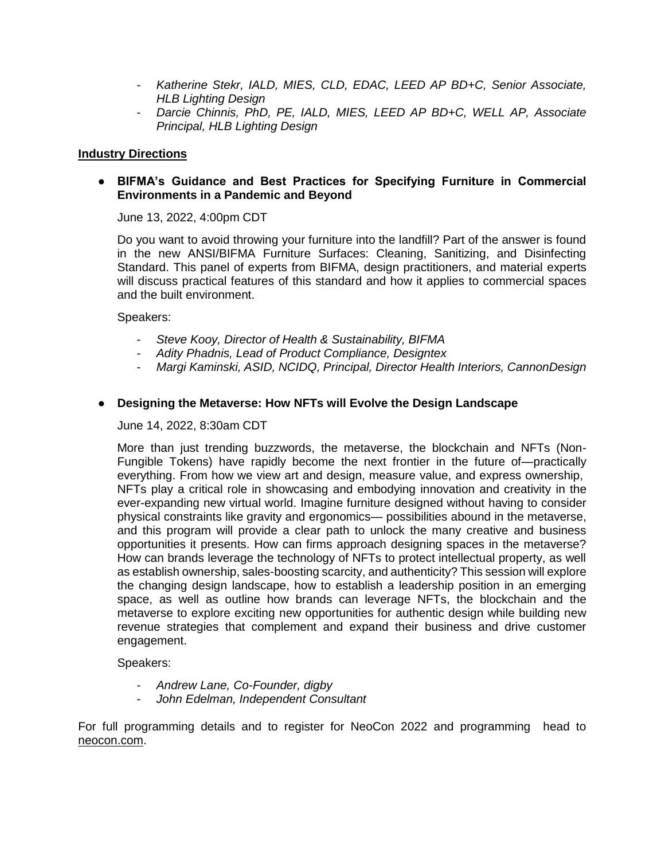- *Katherine Stekr, IALD, MIES, CLD, EDAC, LEED AP BD+C, Senior Associate, HLB Lighting Design*
- *Darcie Chinnis, PhD, PE, IALD, MIES, LEED AP BD+C, WELL AP, Associate Principal, HLB Lighting Design*

## **Industry Directions**

## ● **BIFMA's Guidance and Best Practices for Specifying Furniture in Commercial Environments in a Pandemic and Beyond**

June 13, 2022, 4:00pm CDT

Do you want to avoid throwing your furniture into the landfill? Part of the answer is found in the new ANSI/BIFMA Furniture Surfaces: Cleaning, Sanitizing, and Disinfecting Standard. This panel of experts from BIFMA, design practitioners, and material experts will discuss practical features of this standard and how it applies to commercial spaces and the built environment.

### Speakers:

- *Steve Kooy, Director of Health & Sustainability, BIFMA*
- *Adity Phadnis, Lead of Product Compliance, Designtex*
- *Margi Kaminski, ASID, NCIDQ, Principal, Director Health Interiors, CannonDesign*

## ● **Designing the Metaverse: How NFTs will Evolve the Design Landscape**

June 14, 2022, 8:30am CDT

More than just trending buzzwords, the metaverse, the blockchain and NFTs (Non-Fungible Tokens) have rapidly become the next frontier in the future of—practically everything. From how we view art and design, measure value, and express ownership, NFTs play a critical role in showcasing and embodying innovation and creativity in the ever-expanding new virtual world. Imagine furniture designed without having to consider physical constraints like gravity and ergonomics— possibilities abound in the metaverse, and this program will provide a clear path to unlock the many creative and business opportunities it presents. How can firms approach designing spaces in the metaverse? How can brands leverage the technology of NFTs to protect intellectual property, as well as establish ownership, sales-boosting scarcity, and authenticity? This session will explore the changing design landscape, how to establish a leadership position in an emerging space, as well as outline how brands can leverage NFTs, the blockchain and the metaverse to explore exciting new opportunities for authentic design while building new revenue strategies that complement and expand their business and drive customer engagement.

Speakers:

- *Andrew Lane, Co-Founder, digby*
- *John Edelman, Independent Consultant*

For full programming details and to register for NeoCon 2022 and programming head to [neocon.com.](http://neocon.com./)